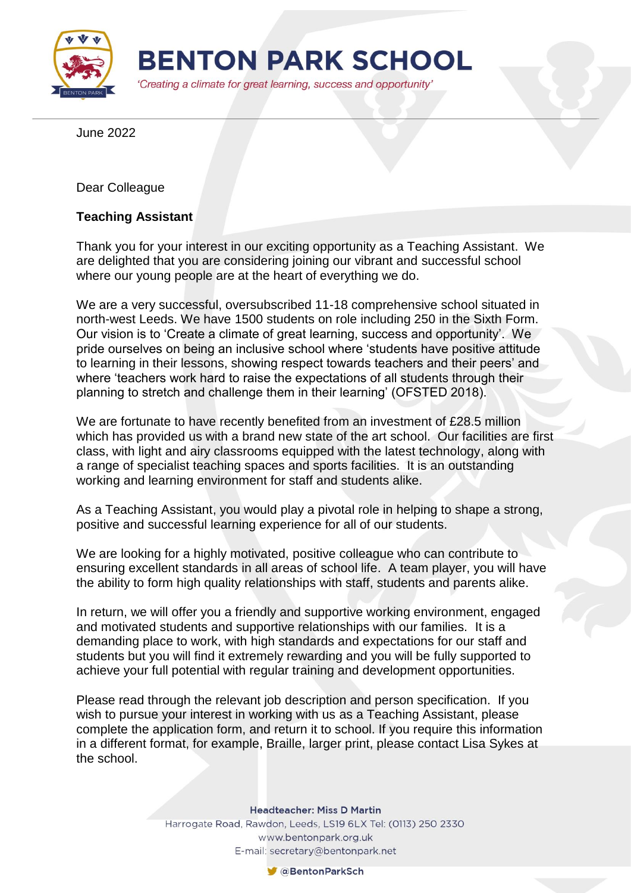

June 2022

Dear Colleague

## **Teaching Assistant**

Thank you for your interest in our exciting opportunity as a Teaching Assistant. We are delighted that you are considering joining our vibrant and successful school where our young people are at the heart of everything we do.

We are a very successful, oversubscribed 11-18 comprehensive school situated in north-west Leeds. We have 1500 students on role including 250 in the Sixth Form. Our vision is to 'Create a climate of great learning, success and opportunity'. We pride ourselves on being an inclusive school where 'students have positive attitude to learning in their lessons, showing respect towards teachers and their peers' and where 'teachers work hard to raise the expectations of all students through their planning to stretch and challenge them in their learning' (OFSTED 2018).

We are fortunate to have recently benefited from an investment of £28.5 million which has provided us with a brand new state of the art school. Our facilities are first class, with light and airy classrooms equipped with the latest technology, along with a range of specialist teaching spaces and sports facilities. It is an outstanding working and learning environment for staff and students alike.

As a Teaching Assistant, you would play a pivotal role in helping to shape a strong, positive and successful learning experience for all of our students.

We are looking for a highly motivated, positive colleague who can contribute to ensuring excellent standards in all areas of school life. A team player, you will have the ability to form high quality relationships with staff, students and parents alike.

In return, we will offer you a friendly and supportive working environment, engaged and motivated students and supportive relationships with our families. It is a demanding place to work, with high standards and expectations for our staff and students but you will find it extremely rewarding and you will be fully supported to achieve your full potential with regular training and development opportunities.

Please read through the relevant job description and person specification. If you wish to pursue your interest in working with us as a Teaching Assistant, please complete the application form, and return it to school. If you require this information in a different format, for example, Braille, larger print, please contact Lisa Sykes at the school.

**Headteacher: Miss D Martin** 

Harrogate Road, Rawdon, Leeds, LS19 6LX Tel: (0113) 250 2330 www.bentonpark.org.uk E-mail: secretary@bentonpark.net

CaBentonParkSch